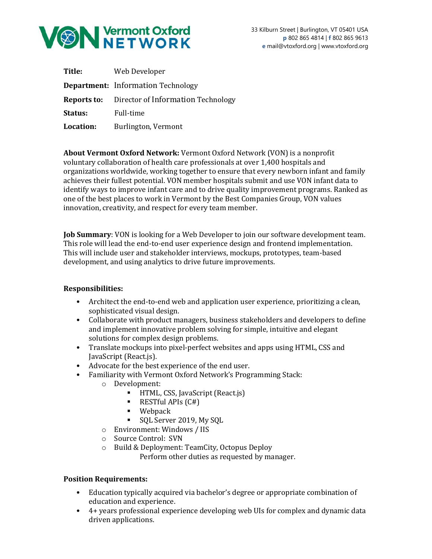

| Title:    | Web Developer                                         |
|-----------|-------------------------------------------------------|
|           | <b>Department:</b> Information Technology             |
|           | <b>Reports to:</b> Director of Information Technology |
| Status:   | Full-time                                             |
| Location: | Burlington, Vermont                                   |

**About Vermont Oxford Network:** Vermont Oxford Network (VON) is a nonprofit voluntary collaboration of health care professionals at over 1,400 hospitals and organizations worldwide, working together to ensure that every newborn infant and family achieves their fullest potential. VON member hospitals submit and use VON infant data to identify ways to improve infant care and to drive quality improvement programs. Ranked as one of the best places to work in Vermont by the Best Companies Group, VON values innovation, creativity, and respect for every team member.

**Job Summary**: VON is looking for a Web Developer to join our software development team. This role will lead the end-to-end user experience design and frontend implementation. This will include user and stakeholder interviews, mockups, prototypes, team-based development, and using analytics to drive future improvements.

## **Responsibilities:**

- Architect the end-to-end web and application user experience, prioritizing a clean, sophisticated visual design.
- Collaborate with product managers, business stakeholders and developers to define and implement innovative problem solving for simple, intuitive and elegant solutions for complex design problems.
- Translate mockups into pixel-perfect websites and apps using HTML, CSS and JavaScript (React.js).
- Advocate for the best experience of the end user.
- Familiarity with Vermont Oxford Network's Programming Stack:
	- o Development:
		- **•** HTML, CSS, JavaScript (React.js)
		- $\blacksquare$  RESTful APIs  $(C#)$
		- Webpack
		- SQL Server 2019, My SQL
	- o Environment: Windows / IIS
	- o Source Control: SVN
	- o Build & Deployment: TeamCity, Octopus Deploy

Perform other duties as requested by manager.

## **Position Requirements:**

- Education typically acquired via bachelor's degree or appropriate combination of education and experience.
- 4+ years professional experience developing web UIs for complex and dynamic data driven applications.